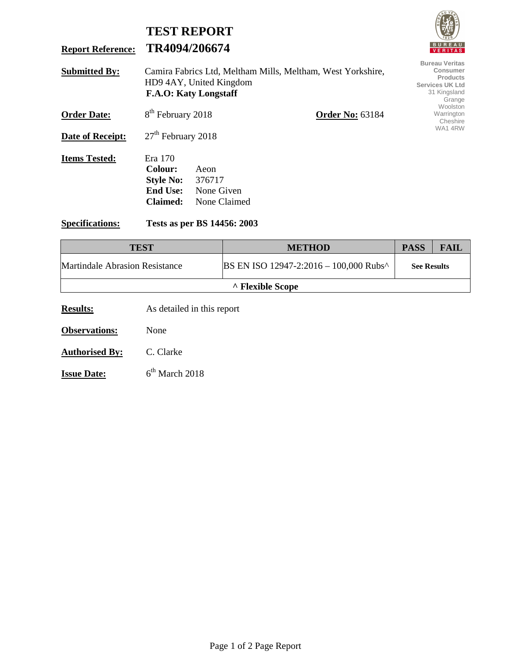|                          |                                                                                                                        | <b>TEST REPORT</b>                           |                                                                                                   | <b>VAIS</b>                        |
|--------------------------|------------------------------------------------------------------------------------------------------------------------|----------------------------------------------|---------------------------------------------------------------------------------------------------|------------------------------------|
| <b>Report Reference:</b> |                                                                                                                        | TR4094/206674                                |                                                                                                   | <b>BUREAU</b><br><b>VERITAS</b>    |
| <b>Submitted By:</b>     | Camira Fabrics Ltd, Meltham Mills, Meltham, West Yorkshire,<br>HD9 4AY, United Kingdom<br><b>F.A.O: Katy Longstaff</b> |                                              | <b>Bureau Veritas</b><br>Consumer<br>Products<br><b>Services UK Ltd</b><br>31 Kingsland<br>Grange |                                    |
| <b>Order Date:</b>       | 8 <sup>th</sup> February 2018                                                                                          |                                              | <b>Order No: 63184</b>                                                                            | Woolston<br>Warrington<br>Cheshire |
| <b>Date of Receipt:</b>  | $27th$ February 2018                                                                                                   |                                              |                                                                                                   | WA14RW                             |
| <b>Items Tested:</b>     | Era 170<br>Colour:<br><b>Style No:</b><br><b>End Use:</b><br>Claimed:                                                  | Aeon<br>376717<br>None Given<br>None Claimed |                                                                                                   |                                    |
| <b>Specifications:</b>   |                                                                                                                        | Tests as per BS 14456: 2003                  |                                                                                                   |                                    |

FULLED

| <b>TEST</b>                    | <b>METHOD</b>                          | <b>PASS</b>        | <b>FAIL</b> |  |  |  |
|--------------------------------|----------------------------------------|--------------------|-------------|--|--|--|
| Martindale Abrasion Resistance | BS EN ISO 12947-2:2016 - 100,000 Rubs^ | <b>See Results</b> |             |  |  |  |
| A Flexible Scope               |                                        |                    |             |  |  |  |

**Results:** As detailed in this report

**Observations:** None

**Authorised By:** C. Clarke

**Issue Date:** 6<sup>th</sup> March 2018